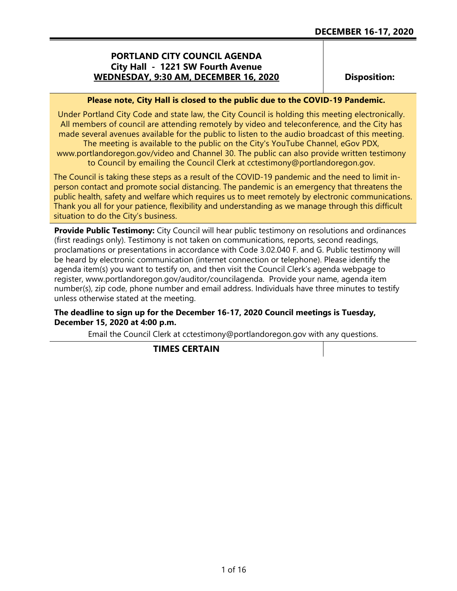# **PORTLAND CITY COUNCIL AGENDA City Hall - 1221 SW Fourth Avenue WEDNESDAY, 9:30 AM, DECEMBER 16, 2020**

**Disposition:**

#### **Please note, City Hall is closed to the public due to the COVID-19 Pandemic.**

Under Portland City Code and state law, the City Council is holding this meeting electronically. All members of council are attending remotely by video and teleconference, and the City has made several avenues available for the public to listen to the audio broadcast of this meeting. The meeting is available to the public on the City's YouTube Channel, eGov PDX,

www.portlandoregon.gov/video and Channel 30. The public can also provide written testimony to Council by emailing the Council Clerk at cctestimony@portlandoregon.gov.

The Council is taking these steps as a result of the COVID-19 pandemic and the need to limit inperson contact and promote social distancing. The pandemic is an emergency that threatens the public health, safety and welfare which requires us to meet remotely by electronic communications. Thank you all for your patience, flexibility and understanding as we manage through this difficult situation to do the City's business.

**Provide Public Testimony:** City Council will hear public testimony on resolutions and ordinances (first readings only). Testimony is not taken on communications, reports, second readings, proclamations or presentations in accordance with Code 3.02.040 F. and G. Public testimony will be heard by electronic communication (internet connection or telephone). Please identify the agenda item(s) you want to testify on, and then visit the Council Clerk's agenda webpage to register, www.portlandoregon.gov/auditor/councilagenda. Provide your name, agenda item number(s), zip code, phone number and email address. Individuals have three minutes to testify unless otherwise stated at the meeting.

#### **The deadline to sign up for the December 16-17, 2020 Council meetings is Tuesday, December 15, 2020 at 4:00 p.m.**

Email the Council Clerk at cctestimony@portlandoregon.gov with any questions.

# **TIMES CERTAIN**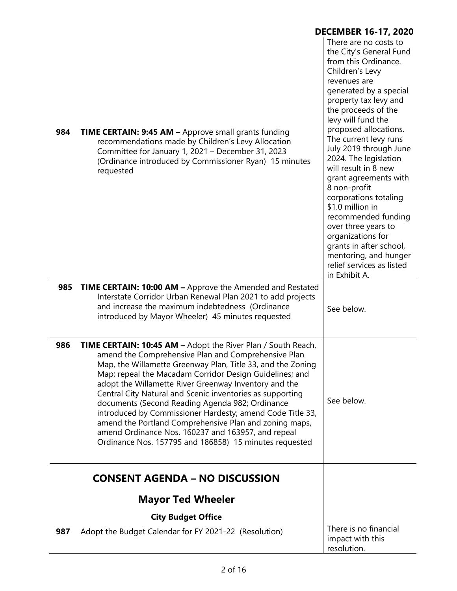|     |                                                                                                                                                                                                                                                                                                                                                                                                                                                                                                                                                                                                                                                                      | <b>DECEMBER 16-17, 2020</b>                                                                                                                                                                                                                                                                                                                                                                                                                                                                                                                                                                         |
|-----|----------------------------------------------------------------------------------------------------------------------------------------------------------------------------------------------------------------------------------------------------------------------------------------------------------------------------------------------------------------------------------------------------------------------------------------------------------------------------------------------------------------------------------------------------------------------------------------------------------------------------------------------------------------------|-----------------------------------------------------------------------------------------------------------------------------------------------------------------------------------------------------------------------------------------------------------------------------------------------------------------------------------------------------------------------------------------------------------------------------------------------------------------------------------------------------------------------------------------------------------------------------------------------------|
| 984 | <b>TIME CERTAIN: 9:45 AM - Approve small grants funding</b><br>recommendations made by Children's Levy Allocation<br>Committee for January 1, 2021 - December 31, 2023<br>(Ordinance introduced by Commissioner Ryan) 15 minutes<br>requested                                                                                                                                                                                                                                                                                                                                                                                                                        | There are no costs to<br>the City's General Fund<br>from this Ordinance.<br>Children's Levy<br>revenues are<br>generated by a special<br>property tax levy and<br>the proceeds of the<br>levy will fund the<br>proposed allocations.<br>The current levy runs<br>July 2019 through June<br>2024. The legislation<br>will result in 8 new<br>grant agreements with<br>8 non-profit<br>corporations totaling<br>\$1.0 million in<br>recommended funding<br>over three years to<br>organizations for<br>grants in after school,<br>mentoring, and hunger<br>relief services as listed<br>in Exhibit A. |
| 985 | TIME CERTAIN: 10:00 AM - Approve the Amended and Restated<br>Interstate Corridor Urban Renewal Plan 2021 to add projects<br>and increase the maximum indebtedness (Ordinance<br>introduced by Mayor Wheeler) 45 minutes requested                                                                                                                                                                                                                                                                                                                                                                                                                                    | See below.                                                                                                                                                                                                                                                                                                                                                                                                                                                                                                                                                                                          |
| 986 | <b>TIME CERTAIN: 10:45 AM - Adopt the River Plan / South Reach,</b><br>amend the Comprehensive Plan and Comprehensive Plan<br>Map, the Willamette Greenway Plan, Title 33, and the Zoning<br>Map; repeal the Macadam Corridor Design Guidelines; and<br>adopt the Willamette River Greenway Inventory and the<br>Central City Natural and Scenic inventories as supporting<br>documents (Second Reading Agenda 982; Ordinance<br>introduced by Commissioner Hardesty; amend Code Title 33,<br>amend the Portland Comprehensive Plan and zoning maps,<br>amend Ordinance Nos. 160237 and 163957, and repeal<br>Ordinance Nos. 157795 and 186858) 15 minutes requested | See below.                                                                                                                                                                                                                                                                                                                                                                                                                                                                                                                                                                                          |
|     | <b>CONSENT AGENDA – NO DISCUSSION</b>                                                                                                                                                                                                                                                                                                                                                                                                                                                                                                                                                                                                                                |                                                                                                                                                                                                                                                                                                                                                                                                                                                                                                                                                                                                     |
|     | <b>Mayor Ted Wheeler</b>                                                                                                                                                                                                                                                                                                                                                                                                                                                                                                                                                                                                                                             |                                                                                                                                                                                                                                                                                                                                                                                                                                                                                                                                                                                                     |
|     | <b>City Budget Office</b>                                                                                                                                                                                                                                                                                                                                                                                                                                                                                                                                                                                                                                            |                                                                                                                                                                                                                                                                                                                                                                                                                                                                                                                                                                                                     |
| 987 | Adopt the Budget Calendar for FY 2021-22 (Resolution)                                                                                                                                                                                                                                                                                                                                                                                                                                                                                                                                                                                                                | There is no financial<br>impact with this<br>resolution.                                                                                                                                                                                                                                                                                                                                                                                                                                                                                                                                            |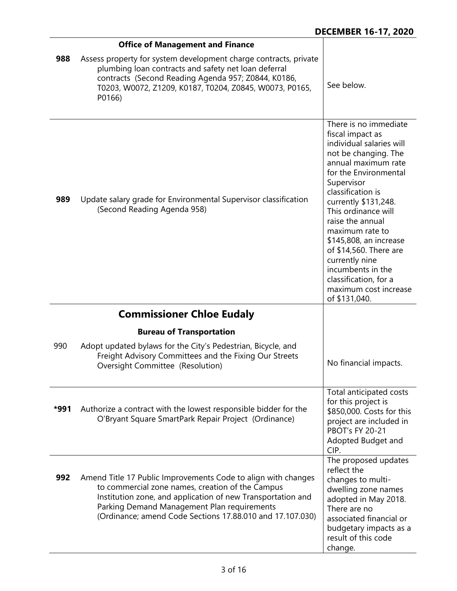|      | <b>Office of Management and Finance</b>                                                                                                                                                                                                                                                      |                                                                                                                                                                                                                                                                                                                                                                                                                                      |
|------|----------------------------------------------------------------------------------------------------------------------------------------------------------------------------------------------------------------------------------------------------------------------------------------------|--------------------------------------------------------------------------------------------------------------------------------------------------------------------------------------------------------------------------------------------------------------------------------------------------------------------------------------------------------------------------------------------------------------------------------------|
| 988  | Assess property for system development charge contracts, private<br>plumbing loan contracts and safety net loan deferral<br>contracts (Second Reading Agenda 957; Z0844, K0186,<br>T0203, W0072, Z1209, K0187, T0204, Z0845, W0073, P0165,<br>P0166)                                         | See below.                                                                                                                                                                                                                                                                                                                                                                                                                           |
| 989  | Update salary grade for Environmental Supervisor classification<br>(Second Reading Agenda 958)                                                                                                                                                                                               | There is no immediate<br>fiscal impact as<br>individual salaries will<br>not be changing. The<br>annual maximum rate<br>for the Environmental<br>Supervisor<br>classification is<br>currently \$131,248.<br>This ordinance will<br>raise the annual<br>maximum rate to<br>\$145,808, an increase<br>of \$14,560. There are<br>currently nine<br>incumbents in the<br>classification, for a<br>maximum cost increase<br>of \$131,040. |
|      | <b>Commissioner Chloe Eudaly</b>                                                                                                                                                                                                                                                             |                                                                                                                                                                                                                                                                                                                                                                                                                                      |
|      | <b>Bureau of Transportation</b>                                                                                                                                                                                                                                                              |                                                                                                                                                                                                                                                                                                                                                                                                                                      |
| 990  | Adopt updated bylaws for the City's Pedestrian, Bicycle, and<br>Freight Advisory Committees and the Fixing Our Streets<br>Oversight Committee (Resolution)                                                                                                                                   | No financial impacts.                                                                                                                                                                                                                                                                                                                                                                                                                |
| *991 | Authorize a contract with the lowest responsible bidder for the<br>O'Bryant Square SmartPark Repair Project (Ordinance)                                                                                                                                                                      | Total anticipated costs<br>for this project is<br>\$850,000. Costs for this<br>project are included in<br><b>PBOT's FY 20-21</b><br>Adopted Budget and<br>CIP.                                                                                                                                                                                                                                                                       |
| 992  | Amend Title 17 Public Improvements Code to align with changes<br>to commercial zone names, creation of the Campus<br>Institution zone, and application of new Transportation and<br>Parking Demand Management Plan requirements<br>(Ordinance; amend Code Sections 17.88.010 and 17.107.030) | The proposed updates<br>reflect the<br>changes to multi-<br>dwelling zone names<br>adopted in May 2018.<br>There are no<br>associated financial or<br>budgetary impacts as a<br>result of this code<br>change.                                                                                                                                                                                                                       |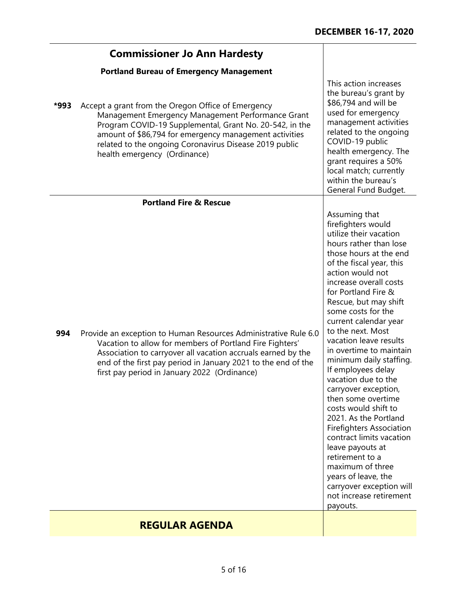|      | <b>Commissioner Jo Ann Hardesty</b>                                                                                                                                                                                                                                                                                    |                                                                                                                                                                                                                                                                                                                                                                                                                                                                                                                                                                                                                                                                                                                                                                 |
|------|------------------------------------------------------------------------------------------------------------------------------------------------------------------------------------------------------------------------------------------------------------------------------------------------------------------------|-----------------------------------------------------------------------------------------------------------------------------------------------------------------------------------------------------------------------------------------------------------------------------------------------------------------------------------------------------------------------------------------------------------------------------------------------------------------------------------------------------------------------------------------------------------------------------------------------------------------------------------------------------------------------------------------------------------------------------------------------------------------|
|      | <b>Portland Bureau of Emergency Management</b>                                                                                                                                                                                                                                                                         |                                                                                                                                                                                                                                                                                                                                                                                                                                                                                                                                                                                                                                                                                                                                                                 |
| *993 | Accept a grant from the Oregon Office of Emergency<br>Management Emergency Management Performance Grant<br>Program COVID-19 Supplemental, Grant No. 20-542, in the<br>amount of \$86,794 for emergency management activities<br>related to the ongoing Coronavirus Disease 2019 public<br>health emergency (Ordinance) | This action increases<br>the bureau's grant by<br>\$86,794 and will be<br>used for emergency<br>management activities<br>related to the ongoing<br>COVID-19 public<br>health emergency. The<br>grant requires a 50%<br>local match; currently<br>within the bureau's<br>General Fund Budget.                                                                                                                                                                                                                                                                                                                                                                                                                                                                    |
|      | <b>Portland Fire &amp; Rescue</b>                                                                                                                                                                                                                                                                                      |                                                                                                                                                                                                                                                                                                                                                                                                                                                                                                                                                                                                                                                                                                                                                                 |
| 994  | Provide an exception to Human Resources Administrative Rule 6.0<br>Vacation to allow for members of Portland Fire Fighters'<br>Association to carryover all vacation accruals earned by the<br>end of the first pay period in January 2021 to the end of the<br>first pay period in January 2022 (Ordinance)           | Assuming that<br>firefighters would<br>utilize their vacation<br>hours rather than lose<br>those hours at the end<br>of the fiscal year, this<br>action would not<br>increase overall costs<br>for Portland Fire &<br>Rescue, but may shift<br>some costs for the<br>current calendar year<br>to the next. Most<br>vacation leave results<br>in overtime to maintain<br>minimum daily staffing.<br>If employees delay<br>vacation due to the<br>carryover exception,<br>then some overtime<br>costs would shift to<br>2021. As the Portland<br><b>Firefighters Association</b><br>contract limits vacation<br>leave payouts at<br>retirement to a<br>maximum of three<br>years of leave, the<br>carryover exception will<br>not increase retirement<br>payouts. |
|      | <b>REGULAR AGENDA</b>                                                                                                                                                                                                                                                                                                  |                                                                                                                                                                                                                                                                                                                                                                                                                                                                                                                                                                                                                                                                                                                                                                 |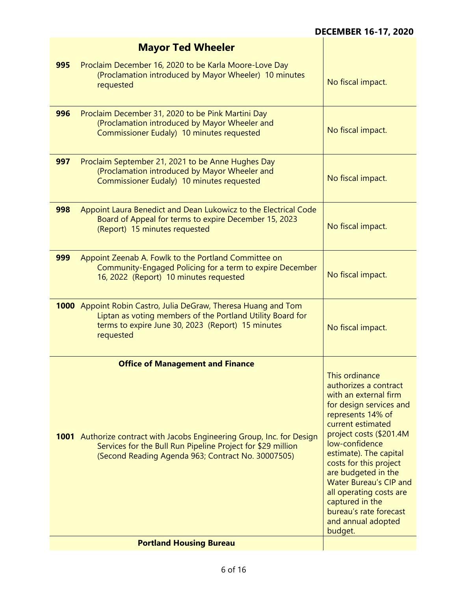|     | <b>Mayor Ted Wheeler</b>                                                                                                                                                                              |                                                                                                                                                                                                                                                                                                                                                                                                         |
|-----|-------------------------------------------------------------------------------------------------------------------------------------------------------------------------------------------------------|---------------------------------------------------------------------------------------------------------------------------------------------------------------------------------------------------------------------------------------------------------------------------------------------------------------------------------------------------------------------------------------------------------|
| 995 | Proclaim December 16, 2020 to be Karla Moore-Love Day<br>(Proclamation introduced by Mayor Wheeler) 10 minutes<br>requested                                                                           | No fiscal impact.                                                                                                                                                                                                                                                                                                                                                                                       |
| 996 | Proclaim December 31, 2020 to be Pink Martini Day<br>(Proclamation introduced by Mayor Wheeler and<br>Commissioner Eudaly) 10 minutes requested                                                       | No fiscal impact.                                                                                                                                                                                                                                                                                                                                                                                       |
| 997 | Proclaim September 21, 2021 to be Anne Hughes Day<br>(Proclamation introduced by Mayor Wheeler and<br>Commissioner Eudaly) 10 minutes requested                                                       | No fiscal impact.                                                                                                                                                                                                                                                                                                                                                                                       |
| 998 | Appoint Laura Benedict and Dean Lukowicz to the Electrical Code<br>Board of Appeal for terms to expire December 15, 2023<br>(Report) 15 minutes requested                                             | No fiscal impact.                                                                                                                                                                                                                                                                                                                                                                                       |
| 999 | Appoint Zeenab A. Fowlk to the Portland Committee on<br>Community-Engaged Policing for a term to expire December<br>16, 2022 (Report) 10 minutes requested                                            | No fiscal impact.                                                                                                                                                                                                                                                                                                                                                                                       |
|     | <b>1000</b> Appoint Robin Castro, Julia DeGraw, Theresa Huang and Tom<br>Liptan as voting members of the Portland Utility Board for<br>terms to expire June 30, 2023 (Report) 15 minutes<br>requested | No fiscal impact.                                                                                                                                                                                                                                                                                                                                                                                       |
|     | <b>Office of Management and Finance</b>                                                                                                                                                               |                                                                                                                                                                                                                                                                                                                                                                                                         |
|     | <b>1001</b> Authorize contract with Jacobs Engineering Group, Inc. for Design<br>Services for the Bull Run Pipeline Project for \$29 million<br>(Second Reading Agenda 963; Contract No. 30007505)    | This ordinance<br>authorizes a contract<br>with an external firm<br>for design services and<br>represents 14% of<br>current estimated<br>project costs (\$201.4M<br>low-confidence<br>estimate). The capital<br>costs for this project<br>are budgeted in the<br><b>Water Bureau's CIP and</b><br>all operating costs are<br>captured in the<br>bureau's rate forecast<br>and annual adopted<br>budget. |
|     | <b>Portland Housing Bureau</b>                                                                                                                                                                        |                                                                                                                                                                                                                                                                                                                                                                                                         |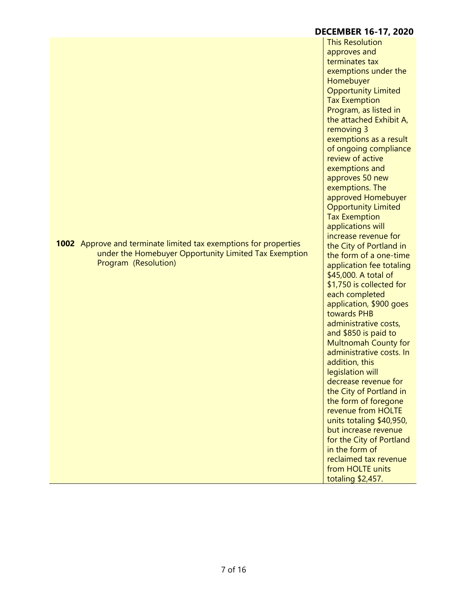#### **1002** Approve and terminate limited tax exemptions for properties under the Homebuyer Opportunity Limited Tax Exemption Program (Resolution)

**DECEMBER 16-17, 2020** This Resolution approves and terminates tax exemptions under the **Homebuyer** Opportunity Limited Tax Exemption Program, as listed in the attached Exhibit A, removing 3 exemptions as a result of ongoing compliance review of active exemptions and approves 50 new exemptions. The approved Homebuyer Opportunity Limited Tax Exemption applications will increase revenue for the City of Portland in the form of a one-time application fee totaling \$45,000. A total of \$1,750 is collected for each completed application, \$900 goes towards PHB administrative costs, and \$850 is paid to Multnomah County for administrative costs. In addition, this legislation will decrease revenue for the City of Portland in the form of foregone revenue from HOLTE units totaling \$40,950, but increase revenue for the City of Portland in the form of reclaimed tax revenue from HOLTE units totaling \$2,457.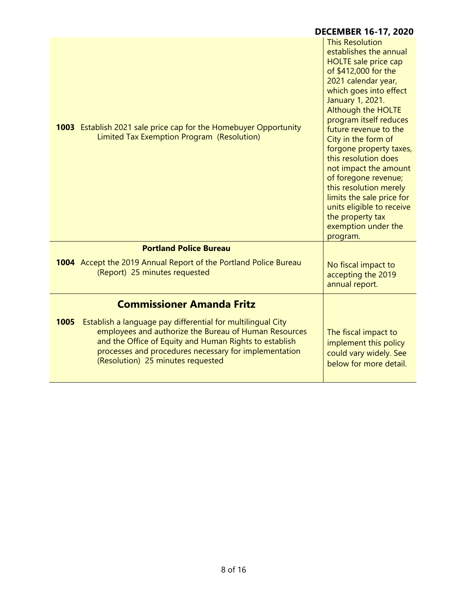|                                                                                                                                                                                                                                                                                      | <b>DECEMBER 16-17, 2020</b>                                                                                                                                                                                                                                                                                                                                                                                                                                                                                                 |  |
|--------------------------------------------------------------------------------------------------------------------------------------------------------------------------------------------------------------------------------------------------------------------------------------|-----------------------------------------------------------------------------------------------------------------------------------------------------------------------------------------------------------------------------------------------------------------------------------------------------------------------------------------------------------------------------------------------------------------------------------------------------------------------------------------------------------------------------|--|
| <b>1003</b> Establish 2021 sale price cap for the Homebuyer Opportunity<br>Limited Tax Exemption Program (Resolution)                                                                                                                                                                | <b>This Resolution</b><br>establishes the annual<br><b>HOLTE</b> sale price cap<br>of \$412,000 for the<br>2021 calendar year,<br>which goes into effect<br>January 1, 2021.<br>Although the HOLTE<br>program itself reduces<br>future revenue to the<br>City in the form of<br>forgone property taxes,<br>this resolution does<br>not impact the amount<br>of foregone revenue;<br>this resolution merely<br>limits the sale price for<br>units eligible to receive<br>the property tax<br>exemption under the<br>program. |  |
| <b>Portland Police Bureau</b>                                                                                                                                                                                                                                                        |                                                                                                                                                                                                                                                                                                                                                                                                                                                                                                                             |  |
| 1004 Accept the 2019 Annual Report of the Portland Police Bureau<br>(Report) 25 minutes requested                                                                                                                                                                                    | No fiscal impact to<br>accepting the 2019<br>annual report.                                                                                                                                                                                                                                                                                                                                                                                                                                                                 |  |
| <b>Commissioner Amanda Fritz</b>                                                                                                                                                                                                                                                     |                                                                                                                                                                                                                                                                                                                                                                                                                                                                                                                             |  |
| 1005<br>Establish a language pay differential for multilingual City<br>employees and authorize the Bureau of Human Resources<br>and the Office of Equity and Human Rights to establish<br>processes and procedures necessary for implementation<br>(Resolution) 25 minutes requested | The fiscal impact to<br>implement this policy<br>could vary widely. See<br>below for more detail.                                                                                                                                                                                                                                                                                                                                                                                                                           |  |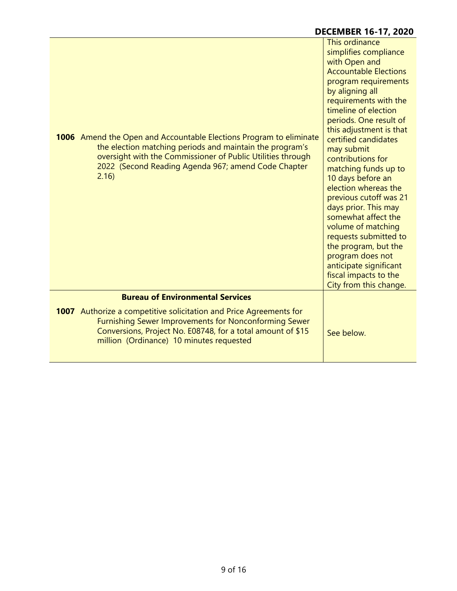| <b>1006</b> Amend the Open and Accountable Elections Program to eliminate<br>the election matching periods and maintain the program's<br>oversight with the Commissioner of Public Utilities through<br>2022 (Second Reading Agenda 967; amend Code Chapter<br>2.16) | This ordinance<br>simplifies compliance<br>with Open and<br><b>Accountable Elections</b><br>program requirements<br>by aligning all<br>requirements with the<br>timeline of election<br>periods. One result of<br>this adjustment is that<br>certified candidates<br>may submit<br>contributions for<br>matching funds up to<br>10 days before an<br>election whereas the<br>previous cutoff was 21<br>days prior. This may<br>somewhat affect the<br>volume of matching<br>requests submitted to<br>the program, but the<br>program does not<br>anticipate significant<br>fiscal impacts to the<br>City from this change. |  |
|----------------------------------------------------------------------------------------------------------------------------------------------------------------------------------------------------------------------------------------------------------------------|----------------------------------------------------------------------------------------------------------------------------------------------------------------------------------------------------------------------------------------------------------------------------------------------------------------------------------------------------------------------------------------------------------------------------------------------------------------------------------------------------------------------------------------------------------------------------------------------------------------------------|--|
| <b>Bureau of Environmental Services</b>                                                                                                                                                                                                                              |                                                                                                                                                                                                                                                                                                                                                                                                                                                                                                                                                                                                                            |  |
| <b>1007</b> Authorize a competitive solicitation and Price Agreements for<br><b>Furnishing Sewer Improvements for Nonconforming Sewer</b><br>Conversions, Project No. E08748, for a total amount of \$15<br>million (Ordinance) 10 minutes requested                 | See below.                                                                                                                                                                                                                                                                                                                                                                                                                                                                                                                                                                                                                 |  |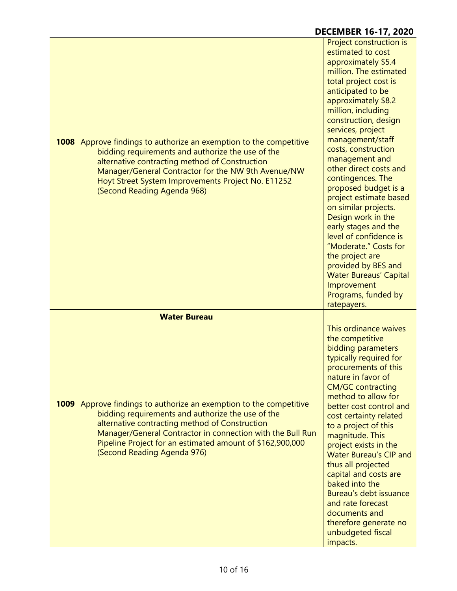| <b>1008</b> Approve findings to authorize an exemption to the competitive<br>bidding requirements and authorize the use of the<br>alternative contracting method of Construction<br>Manager/General Contractor for the NW 9th Avenue/NW<br>Hoyt Street System Improvements Project No. E11252<br>(Second Reading Agenda 968)               | Project construction is<br>estimated to cost<br>approximately \$5.4<br>million. The estimated<br>total project cost is<br>anticipated to be<br>approximately \$8.2<br>million, including<br>construction, design<br>services, project<br>management/staff<br>costs, construction<br>management and<br>other direct costs and<br>contingences. The<br>proposed budget is a<br>project estimate based<br>on similar projects.<br>Design work in the<br>early stages and the<br>level of confidence is<br>"Moderate." Costs for<br>the project are<br>provided by BES and<br><b>Water Bureaus' Capital</b><br>Improvement<br>Programs, funded by<br>ratepayers. |
|--------------------------------------------------------------------------------------------------------------------------------------------------------------------------------------------------------------------------------------------------------------------------------------------------------------------------------------------|--------------------------------------------------------------------------------------------------------------------------------------------------------------------------------------------------------------------------------------------------------------------------------------------------------------------------------------------------------------------------------------------------------------------------------------------------------------------------------------------------------------------------------------------------------------------------------------------------------------------------------------------------------------|
| <b>Water Bureau</b>                                                                                                                                                                                                                                                                                                                        |                                                                                                                                                                                                                                                                                                                                                                                                                                                                                                                                                                                                                                                              |
| <b>1009</b> Approve findings to authorize an exemption to the competitive<br>bidding requirements and authorize the use of the<br>alternative contracting method of Construction<br>Manager/General Contractor in connection with the Bull Run<br>Pipeline Project for an estimated amount of \$162,900,000<br>(Second Reading Agenda 976) | This ordinance waives<br>the competitive<br>bidding parameters<br>typically required for<br>procurements of this<br>nature in favor of<br><b>CM/GC contracting</b><br>method to allow for<br>better cost control and<br>cost certainty related<br>to a project of this<br>magnitude. This<br>project exists in the<br><b>Water Bureau's CIP and</b><br>thus all projected<br>capital and costs are<br>baked into the<br>Bureau's debt issuance<br>and rate forecast<br>documents and<br>therefore generate no<br>unbudgeted fiscal<br>impacts.                                                                                                               |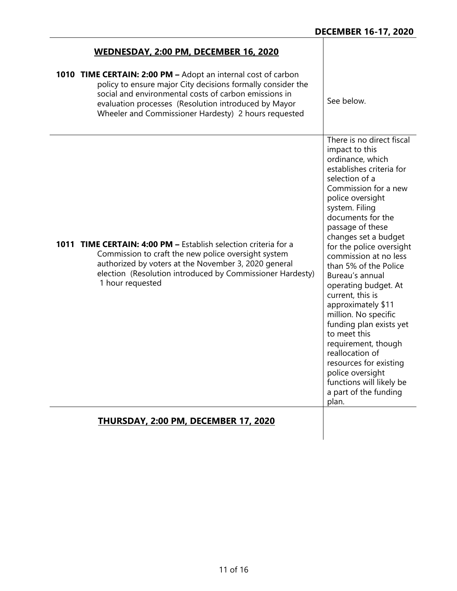| WEDNESDAY, 2:00 PM, DECEMBER 16, 2020                                                                                                                                                                                                                                                                 |                                                                                                                                                                                                                                                                                                                                                                                                                                                                                                                                                                                                                                          |
|-------------------------------------------------------------------------------------------------------------------------------------------------------------------------------------------------------------------------------------------------------------------------------------------------------|------------------------------------------------------------------------------------------------------------------------------------------------------------------------------------------------------------------------------------------------------------------------------------------------------------------------------------------------------------------------------------------------------------------------------------------------------------------------------------------------------------------------------------------------------------------------------------------------------------------------------------------|
| 1010 TIME CERTAIN: 2:00 PM - Adopt an internal cost of carbon<br>policy to ensure major City decisions formally consider the<br>social and environmental costs of carbon emissions in<br>evaluation processes (Resolution introduced by Mayor<br>Wheeler and Commissioner Hardesty) 2 hours requested | See below.                                                                                                                                                                                                                                                                                                                                                                                                                                                                                                                                                                                                                               |
| <b>1011 TIME CERTAIN: 4:00 PM - Establish selection criteria for a</b><br>Commission to craft the new police oversight system<br>authorized by voters at the November 3, 2020 general<br>election (Resolution introduced by Commissioner Hardesty)<br>1 hour requested                                | There is no direct fiscal<br>impact to this<br>ordinance, which<br>establishes criteria for<br>selection of a<br>Commission for a new<br>police oversight<br>system. Filing<br>documents for the<br>passage of these<br>changes set a budget<br>for the police oversight<br>commission at no less<br>than 5% of the Police<br>Bureau's annual<br>operating budget. At<br>current, this is<br>approximately \$11<br>million. No specific<br>funding plan exists yet<br>to meet this<br>requirement, though<br>reallocation of<br>resources for existing<br>police oversight<br>functions will likely be<br>a part of the funding<br>plan. |

# **THURSDAY, 2:00 PM, DECEMBER 17, 2020**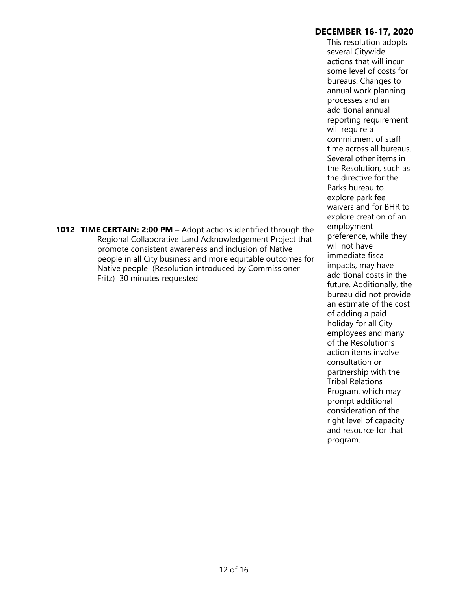#### **1012 TIME CERTAIN: 2:00 PM –** Adopt actions identified through the Regional Collaborative Land Acknowledgement Project that promote consistent awareness and inclusion of Native people in all City business and more equitable outcomes for Native people (Resolution introduced by Commissioner Fritz) 30 minutes requested

This resolution adopts several Citywide actions that will incur some level of costs for bureaus. Changes to annual work planning processes and an additional annual reporting requirement will require a commitment of staff time across all bureaus. Several other items in the Resolution, such as the directive for the Parks bureau to explore park fee waivers and for BHR to explore creation of an employment preference, while they will not have immediate fiscal impacts, may have additional costs in the future. Additionally, the bureau did not provide an estimate of the cost of adding a paid holiday for all City employees and many of the Resolution's action items involve consultation or partnership with the Tribal Relations Program, which may prompt additional consideration of the right level of capacity and resource for that program.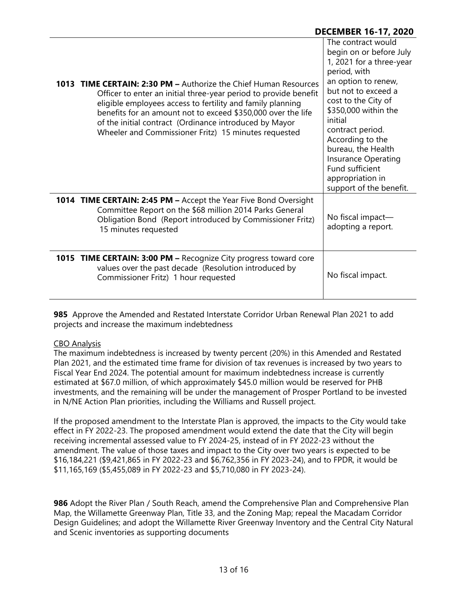| <b>1013 TIME CERTAIN: 2:30 PM - Authorize the Chief Human Resources</b><br>Officer to enter an initial three-year period to provide benefit<br>eligible employees access to fertility and family planning<br>benefits for an amount not to exceed \$350,000 over the life<br>of the initial contract (Ordinance introduced by Mayor<br>Wheeler and Commissioner Fritz) 15 minutes requested | The contract would<br>begin on or before July<br>1, 2021 for a three-year<br>period, with<br>an option to renew,<br>but not to exceed a<br>cost to the City of<br>\$350,000 within the<br>initial<br>contract period.<br>According to the<br>bureau, the Health<br>Insurance Operating<br>Fund sufficient<br>appropriation in<br>support of the benefit. |
|---------------------------------------------------------------------------------------------------------------------------------------------------------------------------------------------------------------------------------------------------------------------------------------------------------------------------------------------------------------------------------------------|----------------------------------------------------------------------------------------------------------------------------------------------------------------------------------------------------------------------------------------------------------------------------------------------------------------------------------------------------------|
| <b>1014 TIME CERTAIN: 2:45 PM - Accept the Year Five Bond Oversight</b><br>Committee Report on the \$68 million 2014 Parks General<br>Obligation Bond (Report introduced by Commissioner Fritz)<br>15 minutes requested                                                                                                                                                                     | No fiscal impact-<br>adopting a report.                                                                                                                                                                                                                                                                                                                  |
| 1015 TIME CERTAIN: 3:00 PM - Recognize City progress toward core<br>values over the past decade (Resolution introduced by<br>Commissioner Fritz) 1 hour requested                                                                                                                                                                                                                           | No fiscal impact.                                                                                                                                                                                                                                                                                                                                        |

**985** Approve the Amended and Restated Interstate Corridor Urban Renewal Plan 2021 to add projects and increase the maximum indebtedness

#### CBO Analysis

The maximum indebtedness is increased by twenty percent (20%) in this Amended and Restated Plan 2021, and the estimated time frame for division of tax revenues is increased by two years to Fiscal Year End 2024. The potential amount for maximum indebtedness increase is currently estimated at \$67.0 million, of which approximately \$45.0 million would be reserved for PHB investments, and the remaining will be under the management of Prosper Portland to be invested in N/NE Action Plan priorities, including the Williams and Russell project.

If the proposed amendment to the Interstate Plan is approved, the impacts to the City would take effect in FY 2022-23. The proposed amendment would extend the date that the City will begin receiving incremental assessed value to FY 2024-25, instead of in FY 2022-23 without the amendment. The value of those taxes and impact to the City over two years is expected to be \$16,184,221 (\$9,421,865 in FY 2022-23 and \$6,762,356 in FY 2023-24), and to FPDR, it would be \$11,165,169 (\$5,455,089 in FY 2022-23 and \$5,710,080 in FY 2023-24).

**986** Adopt the River Plan / South Reach, amend the Comprehensive Plan and Comprehensive Plan Map, the Willamette Greenway Plan, Title 33, and the Zoning Map; repeal the Macadam Corridor Design Guidelines; and adopt the Willamette River Greenway Inventory and the Central City Natural and Scenic inventories as supporting documents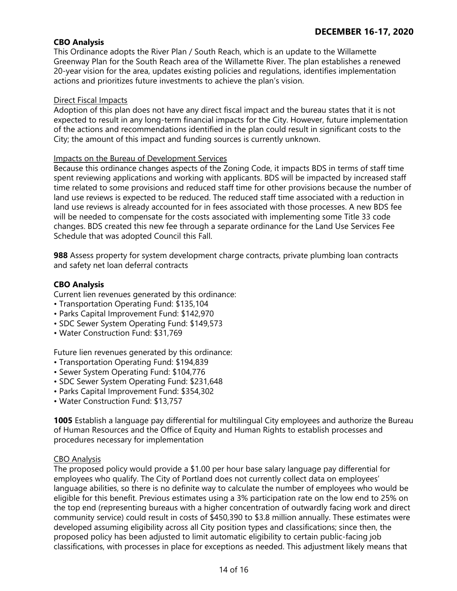# **CBO Analysis**

This Ordinance adopts the River Plan / South Reach, which is an update to the Willamette Greenway Plan for the South Reach area of the Willamette River. The plan establishes a renewed 20-year vision for the area, updates existing policies and regulations, identifies implementation actions and prioritizes future investments to achieve the plan's vision.

## Direct Fiscal Impacts

Adoption of this plan does not have any direct fiscal impact and the bureau states that it is not expected to result in any long-term financial impacts for the City. However, future implementation of the actions and recommendations identified in the plan could result in significant costs to the City; the amount of this impact and funding sources is currently unknown.

### Impacts on the Bureau of Development Services

Because this ordinance changes aspects of the Zoning Code, it impacts BDS in terms of staff time spent reviewing applications and working with applicants. BDS will be impacted by increased staff time related to some provisions and reduced staff time for other provisions because the number of land use reviews is expected to be reduced. The reduced staff time associated with a reduction in land use reviews is already accounted for in fees associated with those processes. A new BDS fee will be needed to compensate for the costs associated with implementing some Title 33 code changes. BDS created this new fee through a separate ordinance for the Land Use Services Fee Schedule that was adopted Council this Fall.

**988** Assess property for system development charge contracts, private plumbing loan contracts and safety net loan deferral contracts

# **CBO Analysis**

Current lien revenues generated by this ordinance:

- Transportation Operating Fund: \$135,104
- Parks Capital Improvement Fund: \$142,970
- SDC Sewer System Operating Fund: \$149,573
- Water Construction Fund: \$31,769

Future lien revenues generated by this ordinance:

- Transportation Operating Fund: \$194,839
- Sewer System Operating Fund: \$104,776
- SDC Sewer System Operating Fund: \$231,648
- Parks Capital Improvement Fund: \$354,302
- Water Construction Fund: \$13,757

**1005** Establish a language pay differential for multilingual City employees and authorize the Bureau of Human Resources and the Office of Equity and Human Rights to establish processes and procedures necessary for implementation

#### CBO Analysis

The proposed policy would provide a \$1.00 per hour base salary language pay differential for employees who qualify. The City of Portland does not currently collect data on employees' language abilities, so there is no definite way to calculate the number of employees who would be eligible for this benefit. Previous estimates using a 3% participation rate on the low end to 25% on the top end (representing bureaus with a higher concentration of outwardly facing work and direct community service) could result in costs of \$450,390 to \$3.8 million annually. These estimates were developed assuming eligibility across all City position types and classifications; since then, the proposed policy has been adjusted to limit automatic eligibility to certain public-facing job classifications, with processes in place for exceptions as needed. This adjustment likely means that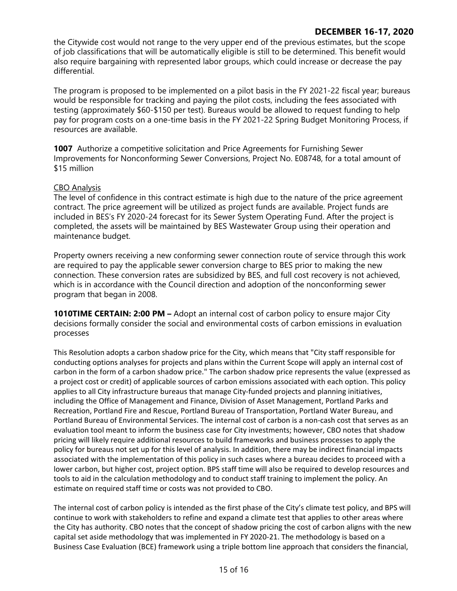the Citywide cost would not range to the very upper end of the previous estimates, but the scope of job classifications that will be automatically eligible is still to be determined. This benefit would also require bargaining with represented labor groups, which could increase or decrease the pay differential.

The program is proposed to be implemented on a pilot basis in the FY 2021-22 fiscal year; bureaus would be responsible for tracking and paying the pilot costs, including the fees associated with testing (approximately \$60-\$150 per test). Bureaus would be allowed to request funding to help pay for program costs on a one-time basis in the FY 2021-22 Spring Budget Monitoring Process, if resources are available.

**1007** Authorize a competitive solicitation and Price Agreements for Furnishing Sewer Improvements for Nonconforming Sewer Conversions, Project No. E08748, for a total amount of \$15 million

#### CBO Analysis

The level of confidence in this contract estimate is high due to the nature of the price agreement contract. The price agreement will be utilized as project funds are available. Project funds are included in BES's FY 2020-24 forecast for its Sewer System Operating Fund. After the project is completed, the assets will be maintained by BES Wastewater Group using their operation and maintenance budget.

Property owners receiving a new conforming sewer connection route of service through this work are required to pay the applicable sewer conversion charge to BES prior to making the new connection. These conversion rates are subsidized by BES, and full cost recovery is not achieved, which is in accordance with the Council direction and adoption of the nonconforming sewer program that began in 2008.

**1010TIME CERTAIN: 2:00 PM –** Adopt an internal cost of carbon policy to ensure major City decisions formally consider the social and environmental costs of carbon emissions in evaluation processes

This Resolution adopts a carbon shadow price for the City, which means that "City staff responsible for conducting options analyses for projects and plans within the Current Scope will apply an internal cost of carbon in the form of a carbon shadow price." The carbon shadow price represents the value (expressed as a project cost or credit) of applicable sources of carbon emissions associated with each option. This policy applies to all City infrastructure bureaus that manage City-funded projects and planning initiatives, including the Office of Management and Finance, Division of Asset Management, Portland Parks and Recreation, Portland Fire and Rescue, Portland Bureau of Transportation, Portland Water Bureau, and Portland Bureau of Environmental Services. The internal cost of carbon is a non-cash cost that serves as an evaluation tool meant to inform the business case for City investments; however, CBO notes that shadow pricing will likely require additional resources to build frameworks and business processes to apply the policy for bureaus not set up for this level of analysis. In addition, there may be indirect financial impacts associated with the implementation of this policy in such cases where a bureau decides to proceed with a lower carbon, but higher cost, project option. BPS staff time will also be required to develop resources and tools to aid in the calculation methodology and to conduct staff training to implement the policy. An estimate on required staff time or costs was not provided to CBO.

The internal cost of carbon policy is intended as the first phase of the City's climate test policy, and BPS will continue to work with stakeholders to refine and expand a climate test that applies to other areas where the City has authority. CBO notes that the concept of shadow pricing the cost of carbon aligns with the new capital set aside methodology that was implemented in FY 2020-21. The methodology is based on a Business Case Evaluation (BCE) framework using a triple bottom line approach that considers the financial,